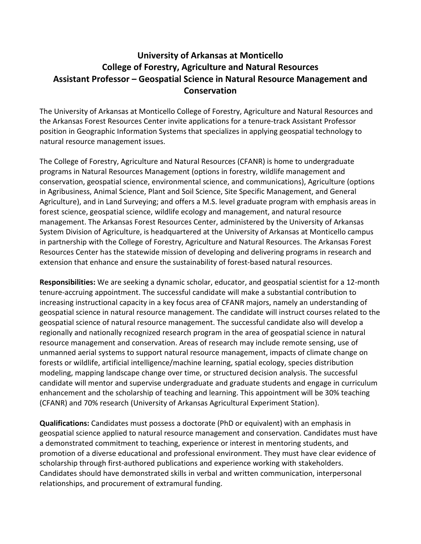## **University of Arkansas at Monticello College of Forestry, Agriculture and Natural Resources Assistant Professor – Geospatial Science in Natural Resource Management and Conservation**

The University of Arkansas at Monticello College of Forestry, Agriculture and Natural Resources and the Arkansas Forest Resources Center invite applications for a tenure-track Assistant Professor position in Geographic Information Systems that specializes in applying geospatial technology to natural resource management issues.

The College of Forestry, Agriculture and Natural Resources (CFANR) is home to undergraduate programs in Natural Resources Management (options in forestry, wildlife management and conservation, geospatial science, environmental science, and communications), Agriculture (options in Agribusiness, Animal Science, Plant and Soil Science, Site Specific Management, and General Agriculture), and in Land Surveying; and offers a M.S. level graduate program with emphasis areas in forest science, geospatial science, wildlife ecology and management, and natural resource management. The Arkansas Forest Resources Center, administered by the University of Arkansas System Division of Agriculture, is headquartered at the University of Arkansas at Monticello campus in partnership with the College of Forestry, Agriculture and Natural Resources. The Arkansas Forest Resources Center has the statewide mission of developing and delivering programs in research and extension that enhance and ensure the sustainability of forest-based natural resources.

**Responsibilities:** We are seeking a dynamic scholar, educator, and geospatial scientist for a 12-month tenure-accruing appointment. The successful candidate will make a substantial contribution to increasing instructional capacity in a key focus area of CFANR majors, namely an understanding of geospatial science in natural resource management. The candidate will instruct courses related to the geospatial science of natural resource management. The successful candidate also will develop a regionally and nationally recognized research program in the area of geospatial science in natural resource management and conservation. Areas of research may include remote sensing, use of unmanned aerial systems to support natural resource management, impacts of climate change on forests or wildlife, artificial intelligence/machine learning, spatial ecology, species distribution modeling, mapping landscape change over time, or structured decision analysis. The successful candidate will mentor and supervise undergraduate and graduate students and engage in curriculum enhancement and the scholarship of teaching and learning. This appointment will be 30% teaching (CFANR) and 70% research (University of Arkansas Agricultural Experiment Station).

**Qualifications:** Candidates must possess a doctorate (PhD or equivalent) with an emphasis in geospatial science applied to natural resource management and conservation. Candidates must have a demonstrated commitment to teaching, experience or interest in mentoring students, and promotion of a diverse educational and professional environment. They must have clear evidence of scholarship through first-authored publications and experience working with stakeholders. Candidates should have demonstrated skills in verbal and written communication, interpersonal relationships, and procurement of extramural funding.